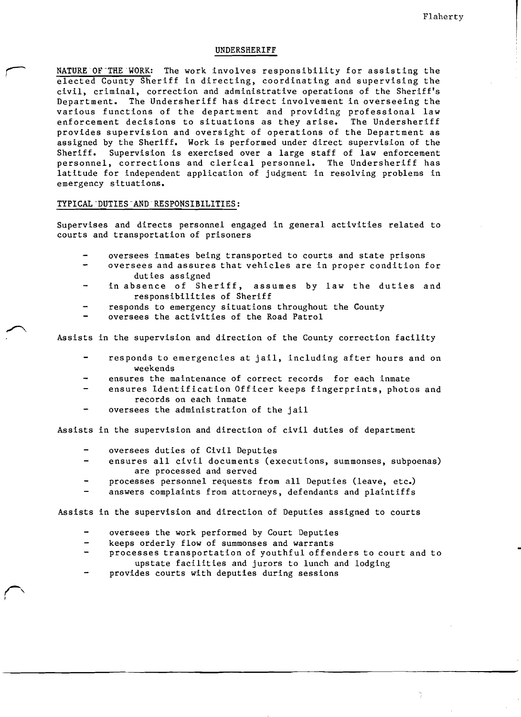#### UNDERSHERIFF

NATURE OF THE WORK: The work involves responsibility for assisting the elected County Sheriff in directing, coordinating and supervising the civil, criminal, correction and administrative operations of the Sheriff's Department. The Undersheriff has direct involvement in overseeing the various functions of the department and providing professional law enforcement decisions to situations as they arise. The Undersheriff provides supervision and oversight of operations of the Department as assigned by the Sheriff. Work is performed under direct supervision of the Sheriff. Supervision is exercised over a large staff of law enforcement personnel, corrections and clerical personnel. The Undersheriff has latitude for independent application of judgment in resolving problems in emergency situations.

### TYPICAL "DUTIES "AND" RESPONSIBILITIES:

Supervises and directs personnel engaged in general activities related to courts and transportation of prisoners

- oversees inmates being transported to courts and state prisons
- oversees and assures that vehicles are in proper condition for duties assigned
- in absence of Sheriff, assumes by law the duties and responsibilities of Sheriff
- responds to emergency situations throughout the County
- oversees the activities of the Road Patrol

Assists in the supervision and direction of the County correction facility

- responds to emergencies at jail, including after hours and on weekends
- ensures the maintenance of correct records for each inmate
- ensures Identification Officer keeps fingerprints, photos and records on each inmate
- oversees the administration of the jail

Assists in the supervision and direction of civil duties of department

- oversees duties of Civil Deputies
- ensures all civil documents (executions, summonses, subpoenas) are processed and served
- processes personnel requests from all Deputies (leave, etc.)
- answers complaints from attorneys, defendants and plaintiffs

Assists in the supervision and direction of Deputies assigned to courts

- oversees the work performed by Court Deputies
- $\overline{\phantom{0}}$ keeps orderly flow of summonses and warrants
- processes transportation of youthful offenders to court and to upstate facilities and jurors to lunch and lodging
- provides courts with deputies during sessions